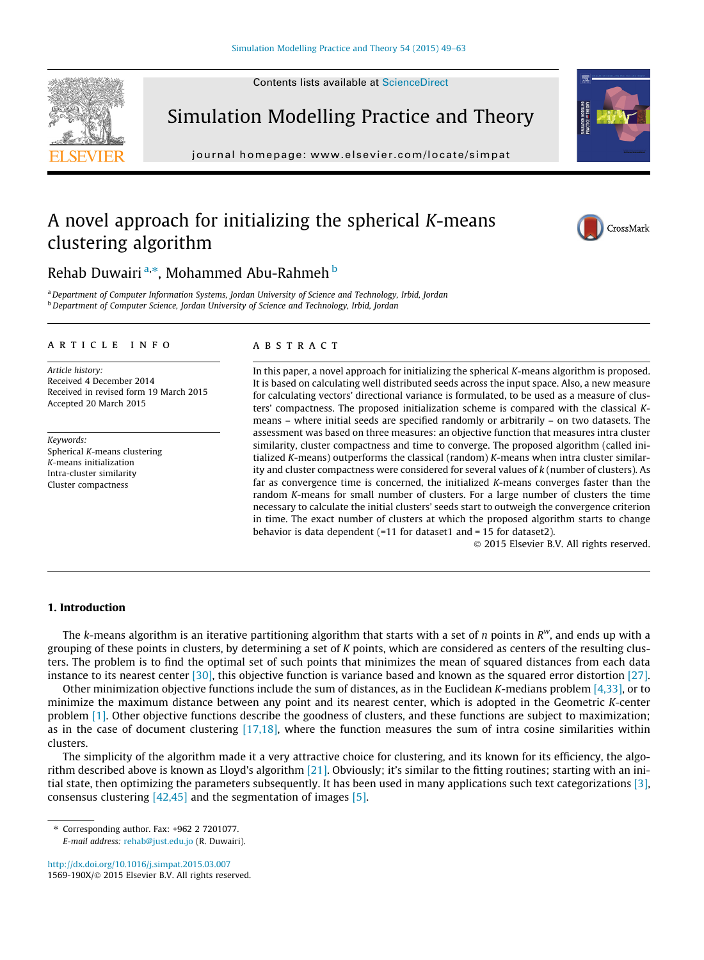Contents lists available at [ScienceDirect](http://www.sciencedirect.com/science/journal/1569190X)





journal homepage: [www.elsevier.com/locate/simpat](http://www.elsevier.com/locate/simpat)



# A novel approach for initializing the spherical K-means clustering algorithm



# Rehab Duwairi <sup>a,\*</sup>, Mohammed Abu-Rahmeh <sup>b</sup>

a Department of Computer Information Systems, Jordan University of Science and Technology, Irbid, Jordan **b** Department of Computer Science, Jordan University of Science and Technology, Irbid, Jordan

#### article info

Article history: Received 4 December 2014 Received in revised form 19 March 2015 Accepted 20 March 2015

Keywords: Spherical K-means clustering K-means initialization Intra-cluster similarity Cluster compactness

# **ABSTRACT**

In this paper, a novel approach for initializing the spherical K-means algorithm is proposed. It is based on calculating well distributed seeds across the input space. Also, a new measure for calculating vectors' directional variance is formulated, to be used as a measure of clusters' compactness. The proposed initialization scheme is compared with the classical Kmeans – where initial seeds are specified randomly or arbitrarily – on two datasets. The assessment was based on three measures: an objective function that measures intra cluster similarity, cluster compactness and time to converge. The proposed algorithm (called initialized K-means) outperforms the classical (random) K-means when intra cluster similarity and cluster compactness were considered for several values of k (number of clusters). As far as convergence time is concerned, the initialized K-means converges faster than the random K-means for small number of clusters. For a large number of clusters the time necessary to calculate the initial clusters' seeds start to outweigh the convergence criterion in time. The exact number of clusters at which the proposed algorithm starts to change behavior is data dependent (=11 for dataset1 and = 15 for dataset2).

- 2015 Elsevier B.V. All rights reserved.

## 1. Introduction

The k-means algorithm is an iterative partitioning algorithm that starts with a set of n points in  $R^w$ , and ends up with a grouping of these points in clusters, by determining a set of K points, which are considered as centers of the resulting clusters. The problem is to find the optimal set of such points that minimizes the mean of squared distances from each data instance to its nearest center [\[30\]](#page-13-0), this objective function is variance based and known as the squared error distortion [\[27\]](#page-13-0).

Other minimization objective functions include the sum of distances, as in the Euclidean K-medians problem  $[4,33]$ , or to minimize the maximum distance between any point and its nearest center, which is adopted in the Geometric K-center problem [\[1\]](#page-13-0). Other objective functions describe the goodness of clusters, and these functions are subject to maximization; as in the case of document clustering [\[17,18\],](#page-13-0) where the function measures the sum of intra cosine similarities within clusters.

The simplicity of the algorithm made it a very attractive choice for clustering, and its known for its efficiency, the algorithm described above is known as Lloyd's algorithm [\[21\]](#page-13-0). Obviously; it's similar to the fitting routines; starting with an initial state, then optimizing the parameters subsequently. It has been used in many applications such text categorizations [\[3\]](#page-13-0), consensus clustering [\[42,45\]](#page-13-0) and the segmentation of images [\[5\]](#page-13-0).

⇑ Corresponding author. Fax: +962 2 7201077. E-mail address: [rehab@just.edu.jo](mailto:rehab@just.edu.jo) (R. Duwairi).

<http://dx.doi.org/10.1016/j.simpat.2015.03.007> 1569-190X/© 2015 Elsevier B.V. All rights reserved.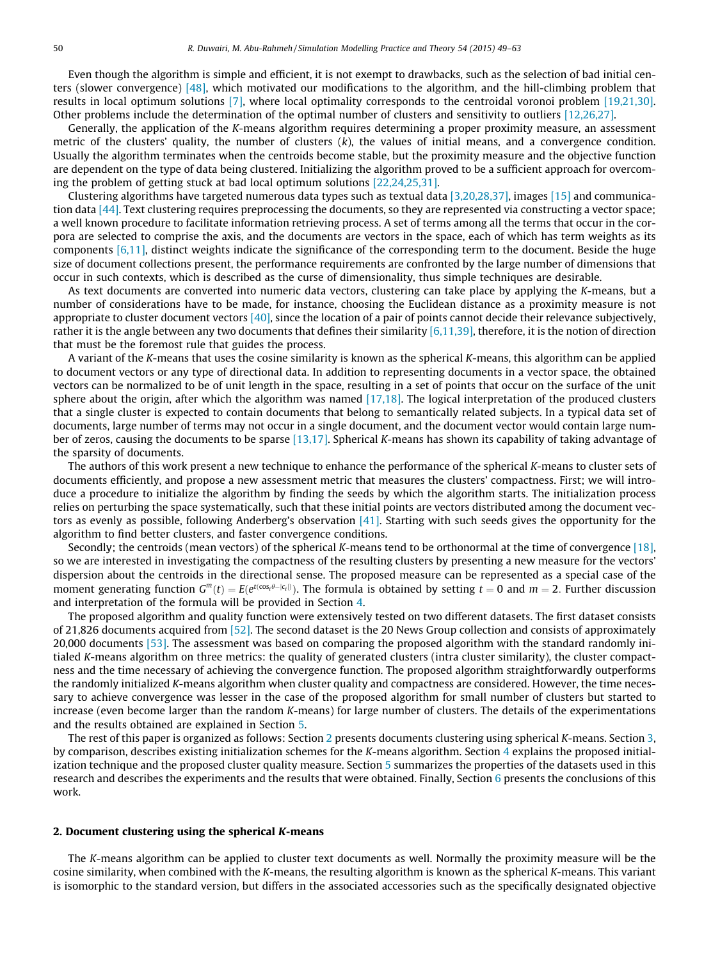Even though the algorithm is simple and efficient, it is not exempt to drawbacks, such as the selection of bad initial centers (slower convergence) [\[48\]](#page-14-0), which motivated our modifications to the algorithm, and the hill-climbing problem that results in local optimum solutions [\[7\],](#page-13-0) where local optimality corresponds to the centroidal voronoi problem [\[19,21,30\]](#page-13-0). Other problems include the determination of the optimal number of clusters and sensitivity to outliers [\[12,26,27\].](#page-13-0)

Generally, the application of the K-means algorithm requires determining a proper proximity measure, an assessment metric of the clusters' quality, the number of clusters  $(k)$ , the values of initial means, and a convergence condition. Usually the algorithm terminates when the centroids become stable, but the proximity measure and the objective function are dependent on the type of data being clustered. Initializing the algorithm proved to be a sufficient approach for overcoming the problem of getting stuck at bad local optimum solutions [\[22,24,25,31\]](#page-13-0).

Clustering algorithms have targeted numerous data types such as textual data [\[3,20,28,37\]](#page-13-0), images [\[15\]](#page-13-0) and communication data [\[44\].](#page-14-0) Text clustering requires preprocessing the documents, so they are represented via constructing a vector space; a well known procedure to facilitate information retrieving process. A set of terms among all the terms that occur in the corpora are selected to comprise the axis, and the documents are vectors in the space, each of which has term weights as its components  $[6,11]$ , distinct weights indicate the significance of the corresponding term to the document. Beside the huge size of document collections present, the performance requirements are confronted by the large number of dimensions that occur in such contexts, which is described as the curse of dimensionality, thus simple techniques are desirable.

As text documents are converted into numeric data vectors, clustering can take place by applying the K-means, but a number of considerations have to be made, for instance, choosing the Euclidean distance as a proximity measure is not appropriate to cluster document vectors  $[40]$ , since the location of a pair of points cannot decide their relevance subjectively, rather it is the angle between any two documents that defines their similarity  $[6,11,39]$ , therefore, it is the notion of direction that must be the foremost rule that guides the process.

A variant of the K-means that uses the cosine similarity is known as the spherical K-means, this algorithm can be applied to document vectors or any type of directional data. In addition to representing documents in a vector space, the obtained vectors can be normalized to be of unit length in the space, resulting in a set of points that occur on the surface of the unit sphere about the origin, after which the algorithm was named [\[17,18\]](#page-13-0). The logical interpretation of the produced clusters that a single cluster is expected to contain documents that belong to semantically related subjects. In a typical data set of documents, large number of terms may not occur in a single document, and the document vector would contain large number of zeros, causing the documents to be sparse [\[13,17\].](#page-13-0) Spherical K-means has shown its capability of taking advantage of the sparsity of documents.

The authors of this work present a new technique to enhance the performance of the spherical K-means to cluster sets of documents efficiently, and propose a new assessment metric that measures the clusters' compactness. First; we will introduce a procedure to initialize the algorithm by finding the seeds by which the algorithm starts. The initialization process relies on perturbing the space systematically, such that these initial points are vectors distributed among the document vectors as evenly as possible, following Anderberg's observation  $[41]$ . Starting with such seeds gives the opportunity for the algorithm to find better clusters, and faster convergence conditions.

Secondly; the centroids (mean vectors) of the spherical K-means tend to be orthonormal at the time of convergence [\[18\],](#page-13-0) so we are interested in investigating the compactness of the resulting clusters by presenting a new measure for the vectors' dispersion about the centroids in the directional sense. The proposed measure can be represented as a special case of the moment generating function  $G^m(t) = E(e^{t(\cos_i \theta - |c_i|)})$ . The formula is obtained by setting  $t = 0$  and  $m = 2$ . Further discussion and interpretation of the formula will be provided in Section [4.](#page-5-0)

The proposed algorithm and quality function were extensively tested on two different datasets. The first dataset consists of 21,826 documents acquired from [\[52\].](#page-14-0) The second dataset is the 20 News Group collection and consists of approximately 20,000 documents [\[53\].](#page-14-0) The assessment was based on comparing the proposed algorithm with the standard randomly initialed K-means algorithm on three metrics: the quality of generated clusters (intra cluster similarity), the cluster compactness and the time necessary of achieving the convergence function. The proposed algorithm straightforwardly outperforms the randomly initialized K-means algorithm when cluster quality and compactness are considered. However, the time necessary to achieve convergence was lesser in the case of the proposed algorithm for small number of clusters but started to increase (even become larger than the random K-means) for large number of clusters. The details of the experimentations and the results obtained are explained in Section [5.](#page-8-0)

The rest of this paper is organized as follows: Section 2 presents documents clustering using spherical K-means. Section [3,](#page-3-0) by comparison, describes existing initialization schemes for the K-means algorithm. Section [4](#page-5-0) explains the proposed initialization technique and the proposed cluster quality measure. Section [5](#page-8-0) summarizes the properties of the datasets used in this research and describes the experiments and the results that were obtained. Finally, Section [6](#page-12-0) presents the conclusions of this work.

# 2. Document clustering using the spherical K-means

The K-means algorithm can be applied to cluster text documents as well. Normally the proximity measure will be the cosine similarity, when combined with the K-means, the resulting algorithm is known as the spherical K-means. This variant is isomorphic to the standard version, but differs in the associated accessories such as the specifically designated objective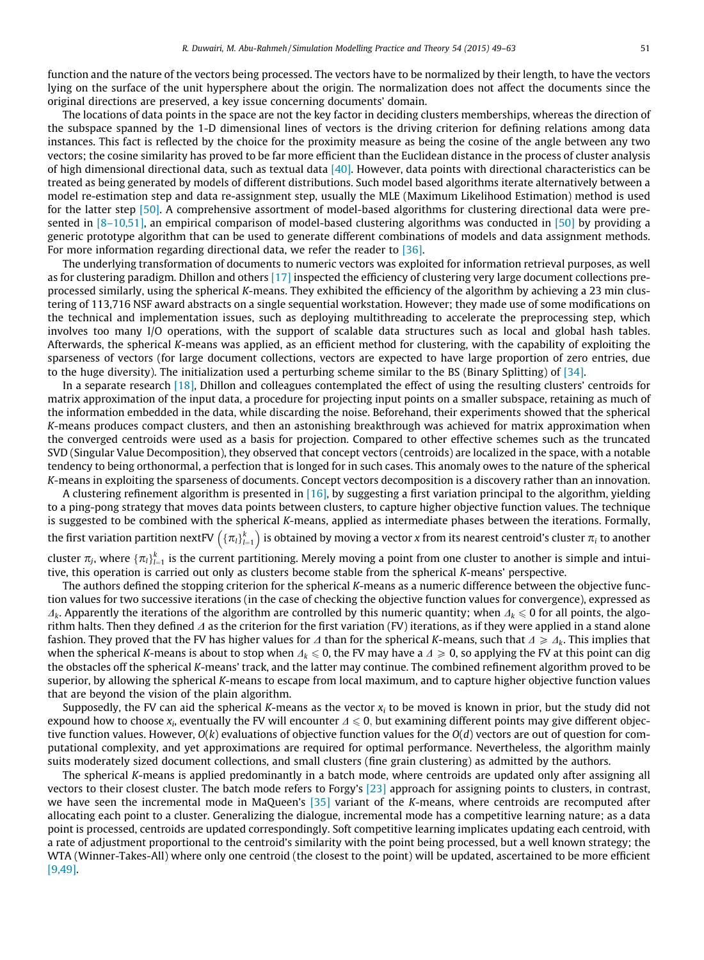function and the nature of the vectors being processed. The vectors have to be normalized by their length, to have the vectors lying on the surface of the unit hypersphere about the origin. The normalization does not affect the documents since the original directions are preserved, a key issue concerning documents' domain.

The locations of data points in the space are not the key factor in deciding clusters memberships, whereas the direction of the subspace spanned by the 1-D dimensional lines of vectors is the driving criterion for defining relations among data instances. This fact is reflected by the choice for the proximity measure as being the cosine of the angle between any two vectors; the cosine similarity has proved to be far more efficient than the Euclidean distance in the process of cluster analysis of high dimensional directional data, such as textual data  $[40]$ . However, data points with directional characteristics can be treated as being generated by models of different distributions. Such model based algorithms iterate alternatively between a model re-estimation step and data re-assignment step, usually the MLE (Maximum Likelihood Estimation) method is used for the latter step [\[50\]](#page-14-0). A comprehensive assortment of model-based algorithms for clustering directional data were presented in [\[8–10,51\]](#page-13-0), an empirical comparison of model-based clustering algorithms was conducted in [\[50\]](#page-14-0) by providing a generic prototype algorithm that can be used to generate different combinations of models and data assignment methods. For more information regarding directional data, we refer the reader to [\[36\].](#page-13-0)

The underlying transformation of documents to numeric vectors was exploited for information retrieval purposes, as well as for clustering paradigm. Dhillon and others [\[17\]](#page-13-0) inspected the efficiency of clustering very large document collections preprocessed similarly, using the spherical K-means. They exhibited the efficiency of the algorithm by achieving a 23 min clustering of 113,716 NSF award abstracts on a single sequential workstation. However; they made use of some modifications on the technical and implementation issues, such as deploying multithreading to accelerate the preprocessing step, which involves too many I/O operations, with the support of scalable data structures such as local and global hash tables. Afterwards, the spherical K-means was applied, as an efficient method for clustering, with the capability of exploiting the sparseness of vectors (for large document collections, vectors are expected to have large proportion of zero entries, due to the huge diversity). The initialization used a perturbing scheme similar to the BS (Binary Splitting) of [\[34\].](#page-13-0)

In a separate research [\[18\]](#page-13-0), Dhillon and colleagues contemplated the effect of using the resulting clusters' centroids for matrix approximation of the input data, a procedure for projecting input points on a smaller subspace, retaining as much of the information embedded in the data, while discarding the noise. Beforehand, their experiments showed that the spherical K-means produces compact clusters, and then an astonishing breakthrough was achieved for matrix approximation when the converged centroids were used as a basis for projection. Compared to other effective schemes such as the truncated SVD (Singular Value Decomposition), they observed that concept vectors (centroids) are localized in the space, with a notable tendency to being orthonormal, a perfection that is longed for in such cases. This anomaly owes to the nature of the spherical K-means in exploiting the sparseness of documents. Concept vectors decomposition is a discovery rather than an innovation.

A clustering refinement algorithm is presented in  $[16]$ , by suggesting a first variation principal to the algorithm, yielding to a ping-pong strategy that moves data points between clusters, to capture higher objective function values. The technique is suggested to be combined with the spherical K-means, applied as intermediate phases between the iterations. Formally, the first variation partition nextFV  $\left(\left\{\pi_l\right\}_{l=1}^k\right)$  $\left(\{\pi_l\}_{l=1}^k\right)$  is obtained by moving a vector x from its nearest centroid's cluster  $\pi_i$  to another

cluster  $\pi_j$ , where  $\{\pi_l\}_{l=1}^k$  is the current partitioning. Merely moving a point from one cluster to another is simple and intuitive, this operation is carried out only as clusters become stable from the spherical K-means' perspective.

The authors defined the stopping criterion for the spherical K-means as a numeric difference between the objective function values for two successive iterations (in the case of checking the objective function values for convergence), expressed as  $\Delta_k$ . Apparently the iterations of the algorithm are controlled by this numeric quantity; when  $\Delta_k \le 0$  for all points, the algorithm halts. Then they defined  $\Delta$  as the criterion for the first variation (FV) iterations, as if they were applied in a stand alone fashion. They proved that the FV has higher values for  $\Delta$  than for the spherical K-means, such that  $\Delta \geq \Delta_k$ . This implies that when the spherical K-means is about to stop when  $\Delta_k \leq 0$ , the FV may have a  $\Delta \geq 0$ , so applying the FV at this point can dig the obstacles off the spherical K-means' track, and the latter may continue. The combined refinement algorithm proved to be superior, by allowing the spherical K-means to escape from local maximum, and to capture higher objective function values that are beyond the vision of the plain algorithm.

Supposedly, the FV can aid the spherical K-means as the vector  $x_i$  to be moved is known in prior, but the study did not expound how to choose  $x_i$ , eventually the FV will encounter  $\Delta \leq 0$ , but examining different points may give different objective function values. However,  $O(k)$  evaluations of objective function values for the  $O(d)$  vectors are out of question for computational complexity, and yet approximations are required for optimal performance. Nevertheless, the algorithm mainly suits moderately sized document collections, and small clusters (fine grain clustering) as admitted by the authors.

The spherical K-means is applied predominantly in a batch mode, where centroids are updated only after assigning all vectors to their closest cluster. The batch mode refers to Forgy's [\[23\]](#page-13-0) approach for assigning points to clusters, in contrast, we have seen the incremental mode in MaQueen's [\[35\]](#page-13-0) variant of the K-means, where centroids are recomputed after allocating each point to a cluster. Generalizing the dialogue, incremental mode has a competitive learning nature; as a data point is processed, centroids are updated correspondingly. Soft competitive learning implicates updating each centroid, with a rate of adjustment proportional to the centroid's similarity with the point being processed, but a well known strategy; the WTA (Winner-Takes-All) where only one centroid (the closest to the point) will be updated, ascertained to be more efficient [\[9,49\].](#page-13-0)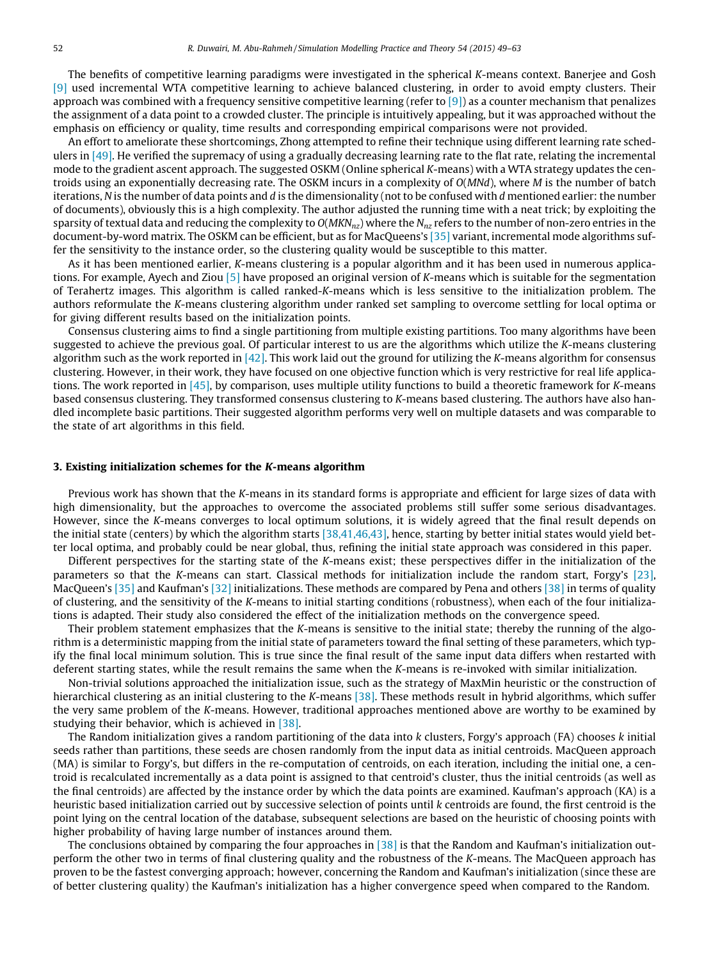<span id="page-3-0"></span>The benefits of competitive learning paradigms were investigated in the spherical K-means context. Banerjee and Gosh [\[9\]](#page-13-0) used incremental WTA competitive learning to achieve balanced clustering, in order to avoid empty clusters. Their approach was combined with a frequency sensitive competitive learning (refer to  $[9]$ ) as a counter mechanism that penalizes the assignment of a data point to a crowded cluster. The principle is intuitively appealing, but it was approached without the emphasis on efficiency or quality, time results and corresponding empirical comparisons were not provided.

An effort to ameliorate these shortcomings, Zhong attempted to refine their technique using different learning rate schedulers in [\[49\].](#page-14-0) He verified the supremacy of using a gradually decreasing learning rate to the flat rate, relating the incremental mode to the gradient ascent approach. The suggested OSKM (Online spherical K-means) with a WTA strategy updates the centroids using an exponentially decreasing rate. The OSKM incurs in a complexity of O(MNd), where M is the number of batch iterations, N is the number of data points and  $d$  is the dimensionality (not to be confused with  $d$  mentioned earlier: the number of documents), obviously this is a high complexity. The author adjusted the running time with a neat trick; by exploiting the sparsity of textual data and reducing the complexity to  $O(MKN_{nz})$  where the  $N_{nz}$  refers to the number of non-zero entries in the document-by-word matrix. The OSKM can be efficient, but as for MacQueens's [\[35\]](#page-13-0) variant, incremental mode algorithms suffer the sensitivity to the instance order, so the clustering quality would be susceptible to this matter.

As it has been mentioned earlier, K-means clustering is a popular algorithm and it has been used in numerous applications. For example, Ayech and Ziou [\[5\]](#page-13-0) have proposed an original version of K-means which is suitable for the segmentation of Terahertz images. This algorithm is called ranked-K-means which is less sensitive to the initialization problem. The authors reformulate the K-means clustering algorithm under ranked set sampling to overcome settling for local optima or for giving different results based on the initialization points.

Consensus clustering aims to find a single partitioning from multiple existing partitions. Too many algorithms have been suggested to achieve the previous goal. Of particular interest to us are the algorithms which utilize the K-means clustering algorithm such as the work reported in  $[42]$ . This work laid out the ground for utilizing the K-means algorithm for consensus clustering. However, in their work, they have focused on one objective function which is very restrictive for real life applications. The work reported in [\[45\]](#page-14-0), by comparison, uses multiple utility functions to build a theoretic framework for K-means based consensus clustering. They transformed consensus clustering to K-means based clustering. The authors have also handled incomplete basic partitions. Their suggested algorithm performs very well on multiple datasets and was comparable to the state of art algorithms in this field.

# 3. Existing initialization schemes for the K-means algorithm

Previous work has shown that the K-means in its standard forms is appropriate and efficient for large sizes of data with high dimensionality, but the approaches to overcome the associated problems still suffer some serious disadvantages. However, since the K-means converges to local optimum solutions, it is widely agreed that the final result depends on the initial state (centers) by which the algorithm starts [\[38,41,46,43\]](#page-13-0), hence, starting by better initial states would yield better local optima, and probably could be near global, thus, refining the initial state approach was considered in this paper.

Different perspectives for the starting state of the K-means exist; these perspectives differ in the initialization of the parameters so that the K-means can start. Classical methods for initialization include the random start, Forgy's [\[23\],](#page-13-0) MacQueen's [\[35\]](#page-13-0) and Kaufman's [\[32\]](#page-13-0) initializations. These methods are compared by Pena and others [\[38\]](#page-13-0) in terms of quality of clustering, and the sensitivity of the K-means to initial starting conditions (robustness), when each of the four initializations is adapted. Their study also considered the effect of the initialization methods on the convergence speed.

Their problem statement emphasizes that the K-means is sensitive to the initial state; thereby the running of the algorithm is a deterministic mapping from the initial state of parameters toward the final setting of these parameters, which typify the final local minimum solution. This is true since the final result of the same input data differs when restarted with deferent starting states, while the result remains the same when the K-means is re-invoked with similar initialization.

Non-trivial solutions approached the initialization issue, such as the strategy of MaxMin heuristic or the construction of hierarchical clustering as an initial clustering to the K-means [\[38\].](#page-13-0) These methods result in hybrid algorithms, which suffer the very same problem of the K-means. However, traditional approaches mentioned above are worthy to be examined by studying their behavior, which is achieved in [\[38\]](#page-13-0).

The Random initialization gives a random partitioning of the data into k clusters, Forgy's approach (FA) chooses k initial seeds rather than partitions, these seeds are chosen randomly from the input data as initial centroids. MacQueen approach (MA) is similar to Forgy's, but differs in the re-computation of centroids, on each iteration, including the initial one, a centroid is recalculated incrementally as a data point is assigned to that centroid's cluster, thus the initial centroids (as well as the final centroids) are affected by the instance order by which the data points are examined. Kaufman's approach (KA) is a heuristic based initialization carried out by successive selection of points until k centroids are found, the first centroid is the point lying on the central location of the database, subsequent selections are based on the heuristic of choosing points with higher probability of having large number of instances around them.

The conclusions obtained by comparing the four approaches in  $[38]$  is that the Random and Kaufman's initialization outperform the other two in terms of final clustering quality and the robustness of the K-means. The MacQueen approach has proven to be the fastest converging approach; however, concerning the Random and Kaufman's initialization (since these are of better clustering quality) the Kaufman's initialization has a higher convergence speed when compared to the Random.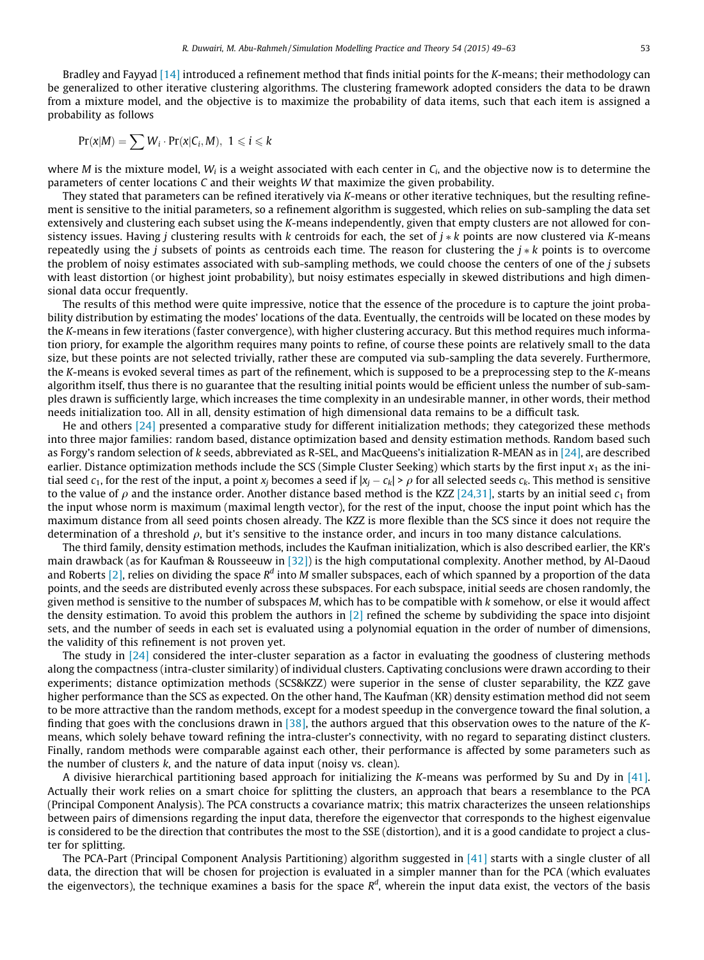Bradley and Fayyad  $[14]$  introduced a refinement method that finds initial points for the K-means; their methodology can be generalized to other iterative clustering algorithms. The clustering framework adopted considers the data to be drawn from a mixture model, and the objective is to maximize the probability of data items, such that each item is assigned a probability as follows

$$
Pr(x|M) = \sum W_i \cdot Pr(x|C_i, M), \ 1 \leq i \leq k
$$

where M is the mixture model,  $W_i$  is a weight associated with each center in  $C_i$ , and the objective now is to determine the parameters of center locations C and their weights W that maximize the given probability.

They stated that parameters can be refined iteratively via K-means or other iterative techniques, but the resulting refinement is sensitive to the initial parameters, so a refinement algorithm is suggested, which relies on sub-sampling the data set extensively and clustering each subset using the K-means independently, given that empty clusters are not allowed for consistency issues. Having *j* clustering results with *k* centroids for each, the set of  $j * k$  points are now clustered via K-means repeatedly using the *j* subsets of points as centroids each time. The reason for clustering the  $j * k$  points is to overcome the problem of noisy estimates associated with sub-sampling methods, we could choose the centers of one of the j subsets with least distortion (or highest joint probability), but noisy estimates especially in skewed distributions and high dimensional data occur frequently.

The results of this method were quite impressive, notice that the essence of the procedure is to capture the joint probability distribution by estimating the modes' locations of the data. Eventually, the centroids will be located on these modes by the K-means in few iterations (faster convergence), with higher clustering accuracy. But this method requires much information priory, for example the algorithm requires many points to refine, of course these points are relatively small to the data size, but these points are not selected trivially, rather these are computed via sub-sampling the data severely. Furthermore, the K-means is evoked several times as part of the refinement, which is supposed to be a preprocessing step to the K-means algorithm itself, thus there is no guarantee that the resulting initial points would be efficient unless the number of sub-samples drawn is sufficiently large, which increases the time complexity in an undesirable manner, in other words, their method needs initialization too. All in all, density estimation of high dimensional data remains to be a difficult task.

He and others [\[24\]](#page-13-0) presented a comparative study for different initialization methods; they categorized these methods into three major families: random based, distance optimization based and density estimation methods. Random based such as Forgy's random selection of k seeds, abbreviated as R-SEL, and MacQueens's initialization R-MEAN as in [\[24\]](#page-13-0), are described earlier. Distance optimization methods include the SCS (Simple Cluster Seeking) which starts by the first input  $x_1$  as the initial seed  $c_1$ , for the rest of the input, a point  $x_j$  becomes a seed if  $|x_j - c_k| > \rho$  for all selected seeds  $c_k$ . This method is sensitive to the value of  $\rho$  and the instance order. Another distance based method is the KZZ [\[24,31\],](#page-13-0) starts by an initial seed  $c_1$  from the input whose norm is maximum (maximal length vector), for the rest of the input, choose the input point which has the maximum distance from all seed points chosen already. The KZZ is more flexible than the SCS since it does not require the determination of a threshold  $\rho$ , but it's sensitive to the instance order, and incurs in too many distance calculations.

The third family, density estimation methods, includes the Kaufman initialization, which is also described earlier, the KR's main drawback (as for Kaufman & Rousseeuw in [\[32\]](#page-13-0)) is the high computational complexity. Another method, by Al-Daoud and Roberts [\[2\],](#page-13-0) relies on dividing the space  $R^d$  into M smaller subspaces, each of which spanned by a proportion of the data points, and the seeds are distributed evenly across these subspaces. For each subspace, initial seeds are chosen randomly, the given method is sensitive to the number of subspaces M, which has to be compatible with k somehow, or else it would affect the density estimation. To avoid this problem the authors in  $[2]$  refined the scheme by subdividing the space into disjoint sets, and the number of seeds in each set is evaluated using a polynomial equation in the order of number of dimensions, the validity of this refinement is not proven yet.

The study in [\[24\]](#page-13-0) considered the inter-cluster separation as a factor in evaluating the goodness of clustering methods along the compactness (intra-cluster similarity) of individual clusters. Captivating conclusions were drawn according to their experiments; distance optimization methods (SCS&KZZ) were superior in the sense of cluster separability, the KZZ gave higher performance than the SCS as expected. On the other hand, The Kaufman (KR) density estimation method did not seem to be more attractive than the random methods, except for a modest speedup in the convergence toward the final solution, a finding that goes with the conclusions drawn in [\[38\]](#page-13-0), the authors argued that this observation owes to the nature of the Kmeans, which solely behave toward refining the intra-cluster's connectivity, with no regard to separating distinct clusters. Finally, random methods were comparable against each other, their performance is affected by some parameters such as the number of clusters k, and the nature of data input (noisy vs. clean).

A divisive hierarchical partitioning based approach for initializing the K-means was performed by Su and Dy in  $[41]$ . Actually their work relies on a smart choice for splitting the clusters, an approach that bears a resemblance to the PCA (Principal Component Analysis). The PCA constructs a covariance matrix; this matrix characterizes the unseen relationships between pairs of dimensions regarding the input data, therefore the eigenvector that corresponds to the highest eigenvalue is considered to be the direction that contributes the most to the SSE (distortion), and it is a good candidate to project a cluster for splitting.

The PCA-Part (Principal Component Analysis Partitioning) algorithm suggested in [\[41\]](#page-13-0) starts with a single cluster of all data, the direction that will be chosen for projection is evaluated in a simpler manner than for the PCA (which evaluates the eigenvectors), the technique examines a basis for the space  $R^d$ , wherein the input data exist, the vectors of the basis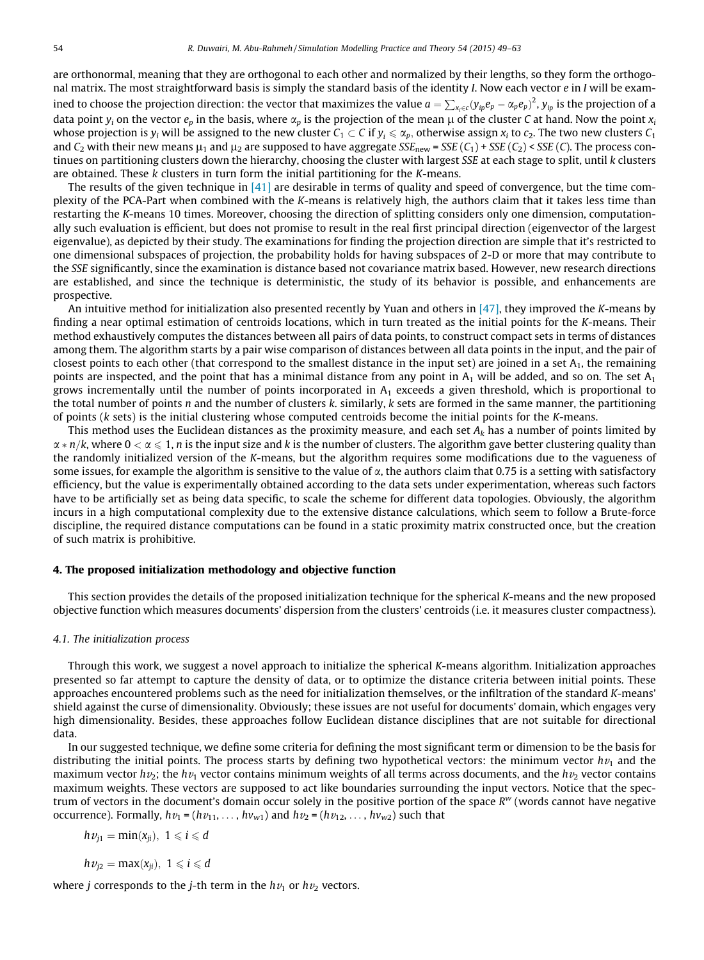<span id="page-5-0"></span>are orthonormal, meaning that they are orthogonal to each other and normalized by their lengths, so they form the orthogonal matrix. The most straightforward basis is simply the standard basis of the identity I. Now each vector  $e$  in I will be examined to choose the projection direction: the vector that maximizes the value  $a=\sum_{x_i\in c}(y_{ip}e_p-\alpha_pe_p)^2$ ,  $y_{ip}$  is the projection of a data point  $y_i$  on the vector  $e_p$  in the basis, where  $\alpha_p$  is the projection of the mean  $\mu$  of the cluster C at hand. Now the point  $x_i$ whose projection is  $y_i$  will be assigned to the new cluster  $C_1 \subset C$  if  $y_i \leq \alpha_p$ , otherwise assign  $x_i$  to  $c_2$ . The two new clusters  $C_1$ and  $C_2$  with their new means  $u_1$  and  $u_2$  are supposed to have aggregate  $SSE_{new} = SSE (C_1) + SSE (C_2) < SSE (C)$ . The process continues on partitioning clusters down the hierarchy, choosing the cluster with largest SSE at each stage to split, until k clusters are obtained. These  $k$  clusters in turn form the initial partitioning for the  $K$ -means.

The results of the given technique in  $[41]$  are desirable in terms of quality and speed of convergence, but the time complexity of the PCA-Part when combined with the K-means is relatively high, the authors claim that it takes less time than restarting the K-means 10 times. Moreover, choosing the direction of splitting considers only one dimension, computationally such evaluation is efficient, but does not promise to result in the real first principal direction (eigenvector of the largest eigenvalue), as depicted by their study. The examinations for finding the projection direction are simple that it's restricted to one dimensional subspaces of projection, the probability holds for having subspaces of 2-D or more that may contribute to the SSE significantly, since the examination is distance based not covariance matrix based. However, new research directions are established, and since the technique is deterministic, the study of its behavior is possible, and enhancements are prospective.

An intuitive method for initialization also presented recently by Yuan and others in [\[47\]](#page-14-0), they improved the K-means by finding a near optimal estimation of centroids locations, which in turn treated as the initial points for the K-means. Their method exhaustively computes the distances between all pairs of data points, to construct compact sets in terms of distances among them. The algorithm starts by a pair wise comparison of distances between all data points in the input, and the pair of closest points to each other (that correspond to the smallest distance in the input set) are joined in a set  $A_1$ , the remaining points are inspected, and the point that has a minimal distance from any point in  $A_1$  will be added, and so on. The set  $A_1$ grows incrementally until the number of points incorporated in  $A_1$  exceeds a given threshold, which is proportional to the total number of points n and the number of clusters k, similarly, k sets are formed in the same manner, the partitioning of points ( $k$  sets) is the initial clustering whose computed centroids become the initial points for the  $K$ -means.

This method uses the Euclidean distances as the proximity measure, and each set  $A_k$  has a number of points limited by  $\alpha * n/k$ , where  $0 < \alpha \leq 1$ , n is the input size and k is the number of clusters. The algorithm gave better clustering quality than the randomly initialized version of the K-means, but the algorithm requires some modifications due to the vagueness of some issues, for example the algorithm is sensitive to the value of  $\alpha$ , the authors claim that 0.75 is a setting with satisfactory efficiency, but the value is experimentally obtained according to the data sets under experimentation, whereas such factors have to be artificially set as being data specific, to scale the scheme for different data topologies. Obviously, the algorithm incurs in a high computational complexity due to the extensive distance calculations, which seem to follow a Brute-force discipline, the required distance computations can be found in a static proximity matrix constructed once, but the creation of such matrix is prohibitive.

# 4. The proposed initialization methodology and objective function

This section provides the details of the proposed initialization technique for the spherical K-means and the new proposed objective function which measures documents' dispersion from the clusters' centroids (i.e. it measures cluster compactness).

### 4.1. The initialization process

Through this work, we suggest a novel approach to initialize the spherical K-means algorithm. Initialization approaches presented so far attempt to capture the density of data, or to optimize the distance criteria between initial points. These approaches encountered problems such as the need for initialization themselves, or the infiltration of the standard K-means' shield against the curse of dimensionality. Obviously; these issues are not useful for documents' domain, which engages very high dimensionality. Besides, these approaches follow Euclidean distance disciplines that are not suitable for directional data.

In our suggested technique, we define some criteria for defining the most significant term or dimension to be the basis for distributing the initial points. The process starts by defining two hypothetical vectors: the minimum vector  $h\nu_1$  and the maximum vector  $hv_2$ ; the  $hv_1$  vector contains minimum weights of all terms across documents, and the  $hv_2$  vector contains maximum weights. These vectors are supposed to act like boundaries surrounding the input vectors. Notice that the spectrum of vectors in the document's domain occur solely in the positive portion of the space  $R^w$  (words cannot have negative occurrence). Formally,  $hv_1 = (hv_{11}, \ldots, hv_{w1})$  and  $hv_2 = (hv_{12}, \ldots, hv_{w2})$  such that

 $h v_{i1} = \min(x_{ii}), \; 1 \leq i \leq d$ 

 $hv_{i2} = max(x_{ii}), \ 1 \leq i \leq d$ 

where *j* corresponds to the *j*-th term in the  $h\nu_1$  or  $h\nu_2$  vectors.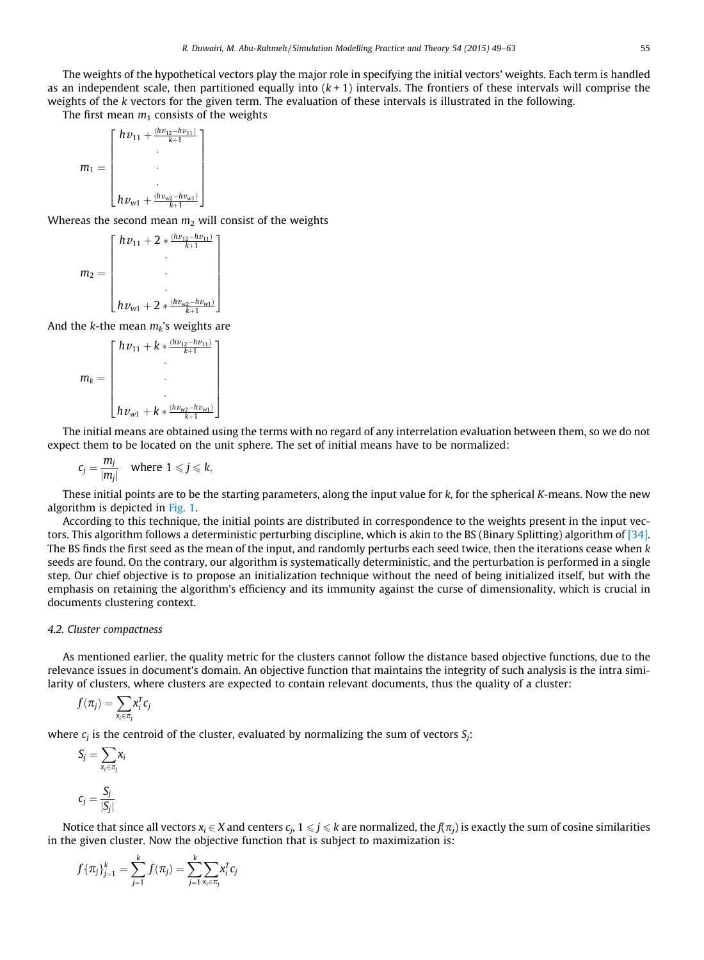The weights of the hypothetical vectors play the major role in specifying the initial vectors' weights. Each term is handled as an independent scale, then partitioned equally into  $(k + 1)$  intervals. The frontiers of these intervals will comprise the weights of the k vectors for the given term. The evaluation of these intervals is illustrated in the following.

The first mean  $m_1$  consists of the weights

$$
m_1 = \begin{bmatrix} h v_{11} + \frac{(h v_{12} - h v_{11})}{k+1} \\ \cdot \\ \cdot \\ \cdot \\ h v_{w1} + \frac{(h v_{w2} - h v_{w1})}{k+1} \end{bmatrix}
$$

Whereas the second mean  $m<sub>2</sub>$  will consist of the weights

 $m_2 =$  $\int h\nu_{11} + 2 * \frac{(h\nu_{12}-h\nu_{11})}{k+1}$ . . .  $h v_{w1} + 2 * \frac{(h v_{w2} - h v_{w1})}{k+1}$  $\begin{array}{c|c|c|c|c} \hline \multicolumn{1}{c|}{\textbf{1}} & \multicolumn{1}{c|}{\textbf{2}} \\ \hline \multicolumn{1}{c|}{\textbf{3}} & \multicolumn{1}{c|}{\textbf{4}} \\ \hline \multicolumn{1}{c|}{\textbf{5}} & \multicolumn{1}{c|}{\textbf{6}} \\ \hline \multicolumn{1}{c|}{\textbf{6}} & \multicolumn{1}{c|}{\textbf{7}} \\ \hline \multicolumn{1}{c|}{\textbf{7}} & \multicolumn{1}{c|}{\textbf{8}} \\ \hline \multicolumn{1}{c|}{\textbf{8}} &$  $\overline{1}$ **1** 

And the k-the mean  $m_k$ 's weights are

$$
m_{k} = \begin{bmatrix} h v_{11} + k * \frac{(h v_{12} - h v_{11})}{k+1} \\ \cdot \\ \cdot \\ \cdot \\ h v_{w1} + k * \frac{(h v_{w2} - h v_{w1})}{k+1} \end{bmatrix}
$$

The initial means are obtained using the terms with no regard of any interrelation evaluation between them, so we do not expect them to be located on the unit sphere. The set of initial means have to be normalized:

$$
c_j = \frac{m_j}{|m_j|} \quad \text{where } 1 \leq j \leq k,
$$

These initial points are to be the starting parameters, along the input value for  $k$ , for the spherical  $K$ -means. Now the new algorithm is depicted in [Fig. 1](#page-7-0).

According to this technique, the initial points are distributed in correspondence to the weights present in the input vectors. This algorithm follows a deterministic perturbing discipline, which is akin to the BS (Binary Splitting) algorithm of [\[34\]](#page-13-0). The BS finds the first seed as the mean of the input, and randomly perturbs each seed twice, then the iterations cease when  $k$ seeds are found. On the contrary, our algorithm is systematically deterministic, and the perturbation is performed in a single step. Our chief objective is to propose an initialization technique without the need of being initialized itself, but with the emphasis on retaining the algorithm's efficiency and its immunity against the curse of dimensionality, which is crucial in documents clustering context.

# 4.2. Cluster compactness

As mentioned earlier, the quality metric for the clusters cannot follow the distance based objective functions, due to the relevance issues in document's domain. An objective function that maintains the integrity of such analysis is the intra similarity of clusters, where clusters are expected to contain relevant documents, thus the quality of a cluster:

$$
f(\pi_j) = \sum_{x_i \in \pi_j} x_i^T c_j
$$

where  $c_i$  is the centroid of the cluster, evaluated by normalizing the sum of vectors  $S_i$ :

$$
S_j = \sum_{x_i \in \pi_j} x_i
$$

$$
c_j = \frac{S_j}{|S_j|}
$$

Notice that since all vectors  $x_i \in X$  and centers  $c_i$ ,  $1 \leq i \leq k$  are normalized, the  $f(\pi_i)$  is exactly the sum of cosine similarities in the given cluster. Now the objective function that is subject to maximization is:

$$
f\{\pi_j\}_{j=1}^k = \sum_{j=1}^k f(\pi_j) = \sum_{j=1}^k \sum_{x_i \in \pi_j} x_i^T c_j
$$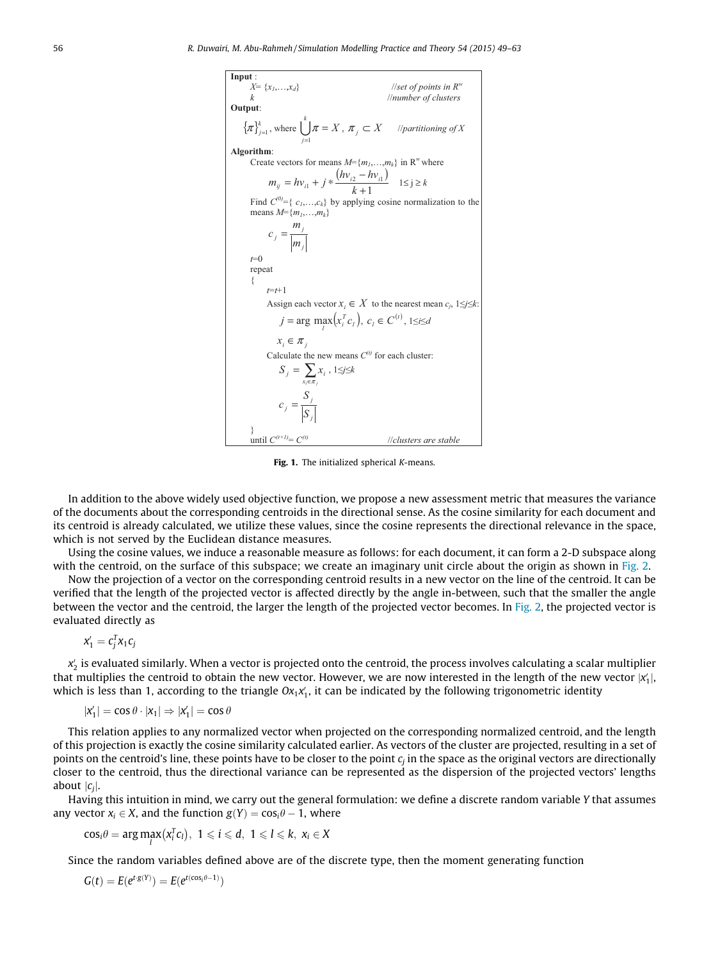<span id="page-7-0"></span>**Input :**  
\n
$$
X = \{x_1, ..., x_d\}
$$
  
\n $k$   
\n**Output:**  
\n $\{\pi_i^k\}_{j=1}$ , where  $\bigcup_{j=1}^k \pi = X$ ,  $\pi_j \subset X$  *||partitioning of X*  
\n**Algorithm:**  
\nCreate vectors for means  $M = \{m_1, ..., m_k\}$  in R<sup>*w*</sup> where  
\n $m_{ij} = hv_{i1} + j * \frac{(hv_{i2} - hv_{i1})}{k+1} \quad 1 \le j \ge k$   
\nFind  $C^{(0)} = \{c_1, ..., c_k\}$  by applying cosine normalization to the  
\nmeans  $M = \{m_1, ..., m_k\}$   
\n $c_j = \frac{m_j}{|m_j|}$   
\n $t=0$   
\nrepeat  
\n{  
\n $t = t+1$   
\nAssign each vector  $x_i \in X$  to the nearest mean  $c_j$ ,  $1 \le j \le k$ :  
\n $j = \arg \max_{i} (x_i^T c_i)$ ,  $c_i \in C^{(t)}$ ,  $1 \le i \le d$   
\n $x_i \in \pi_j$   
\nCalculate the new means  $C^{(0)}$  for each cluster:  
\n $S_j = \sum_{x_i \in \pi_j} x_i$ ,  $1 \le j \le k$   
\n $c_j = \frac{S_j}{|S_j|}$   
\n $\text{until } C^{(t+1)} = C^{(0)}$  *||clusters are stable*

Fig. 1. The initialized spherical K-means.

In addition to the above widely used objective function, we propose a new assessment metric that measures the variance of the documents about the corresponding centroids in the directional sense. As the cosine similarity for each document and its centroid is already calculated, we utilize these values, since the cosine represents the directional relevance in the space, which is not served by the Euclidean distance measures.

Using the cosine values, we induce a reasonable measure as follows: for each document, it can form a 2-D subspace along with the centroid, on the surface of this subspace; we create an imaginary unit circle about the origin as shown in [Fig. 2.](#page-8-0)

Now the projection of a vector on the corresponding centroid results in a new vector on the line of the centroid. It can be verified that the length of the projected vector is affected directly by the angle in-between, such that the smaller the angle between the vector and the centroid, the larger the length of the projected vector becomes. In [Fig. 2,](#page-8-0) the projected vector is evaluated directly as

$$
x'_1 = c_j^T x_1 c_j
$$

 $\mathsf{x}_2'$  is evaluated similarly. When a vector is projected onto the centroid, the process involves calculating a scalar multiplier that multiplies the centroid to obtain the new vector. However, we are now interested in the length of the new vector  $|x'_{1}|$ which is less than 1, according to the triangle  $Ox_1x_1'$ , it can be indicated by the following trigonometric identity

$$
|x'_1| = \cos \theta \cdot |x_1| \Rightarrow |x'_1| = \cos \theta
$$

This relation applies to any normalized vector when projected on the corresponding normalized centroid, and the length of this projection is exactly the cosine similarity calculated earlier. As vectors of the cluster are projected, resulting in a set of points on the centroid's line, these points have to be closer to the point  $c_i$  in the space as the original vectors are directionally closer to the centroid, thus the directional variance can be represented as the dispersion of the projected vectors' lengths about  $|c_i|$ .

Having this intuition in mind, we carry out the general formulation: we define a discrete random variable Y that assumes any vector  $x_i \in X$ , and the function  $g(Y) = \cos_i \theta - 1$ , where

$$
\cos_i \theta = \arg \max_l (x_i^T c_l), \ 1 \leq i \leq d, \ 1 \leq l \leq k, \ x_i \in X
$$

Since the random variables defined above are of the discrete type, then the moment generating function

$$
G(t) = E(e^{t \cdot g(Y)}) = E(e^{t(\cos_i \theta - 1)})
$$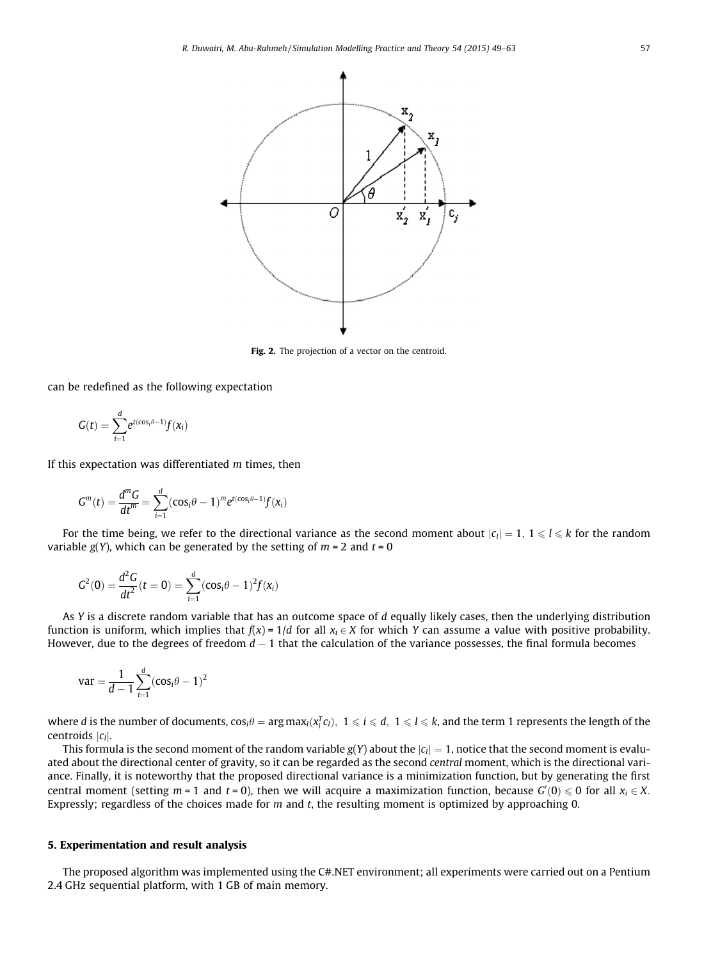<span id="page-8-0"></span>

Fig. 2. The projection of a vector on the centroid.

can be redefined as the following expectation

$$
G(t) = \sum_{i=1}^d e^{t(\cos_i \theta - 1)} f(x_i)
$$

If this expectation was differentiated  $m$  times, then

$$
G^{m}(t) = \frac{d^{m}G}{dt^{m}} = \sum_{i=1}^{d} (cos_{i}\theta - 1)^{m}e^{t(cos_{i}\theta - 1)}f(x_{i})
$$

For the time being, we refer to the directional variance as the second moment about  $|c_i| = 1$ ,  $1 \le i \le k$  for the random variable  $g(Y)$ , which can be generated by the setting of  $m = 2$  and  $t = 0$ 

$$
G^2(0)=\frac{d^2G}{dt^2}(t=0)=\sum_{i=1}^d(cos_i\theta-1)^2f(x_i)
$$

As Y is a discrete random variable that has an outcome space of d equally likely cases, then the underlying distribution function is uniform, which implies that  $f(x) = 1/d$  for all  $x_i \in X$  for which Y can assume a value with positive probability. However, due to the degrees of freedom  $d-1$  that the calculation of the variance possesses, the final formula becomes

$$
var = \frac{1}{d-1} \sum_{i=1}^{d} (cos_i \theta - 1)^2
$$

where  $d$  is the number of documents, cos $_i\theta =$  arg max $_l$ (x $_l^T$ c $_l$ ),  $1\leqslant i\leqslant d,~1\leqslant l\leqslant k$ , and the term 1 represents the length of the centroids  $|c_l|$ .

This formula is the second moment of the random variable g(Y) about the  $|c_l|=1$ , notice that the second moment is evaluated about the directional center of gravity, so it can be regarded as the second central moment, which is the directional variance. Finally, it is noteworthy that the proposed directional variance is a minimization function, but by generating the first central moment (setting  $m = 1$  and  $t = 0$ ), then we will acquire a maximization function, because  $G'(0) \leq 0$  for all  $x_i \in X$ . Expressly; regardless of the choices made for  $m$  and  $t$ , the resulting moment is optimized by approaching 0.

# 5. Experimentation and result analysis

The proposed algorithm was implemented using the C#.NET environment; all experiments were carried out on a Pentium 2.4 GHz sequential platform, with 1 GB of main memory.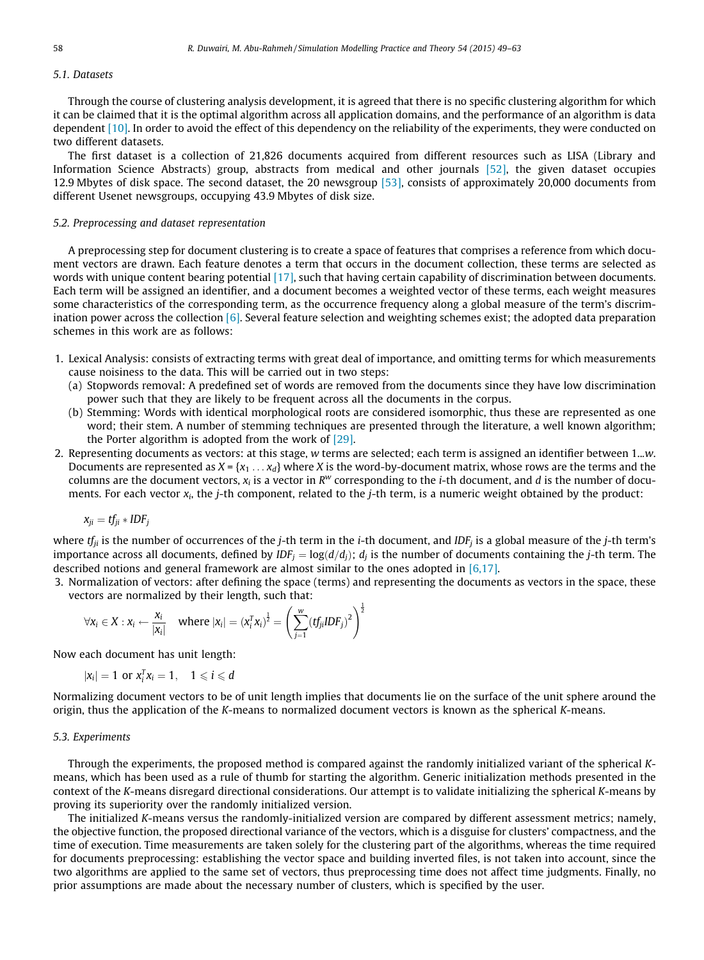# 5.1. Datasets

Through the course of clustering analysis development, it is agreed that there is no specific clustering algorithm for which it can be claimed that it is the optimal algorithm across all application domains, and the performance of an algorithm is data dependent [\[10\].](#page-13-0) In order to avoid the effect of this dependency on the reliability of the experiments, they were conducted on two different datasets.

The first dataset is a collection of 21,826 documents acquired from different resources such as LISA (Library and Information Science Abstracts) group, abstracts from medical and other journals [\[52\],](#page-14-0) the given dataset occupies 12.9 Mbytes of disk space. The second dataset, the 20 newsgroup [\[53\],](#page-14-0) consists of approximately 20,000 documents from different Usenet newsgroups, occupying 43.9 Mbytes of disk size.

#### 5.2. Preprocessing and dataset representation

A preprocessing step for document clustering is to create a space of features that comprises a reference from which document vectors are drawn. Each feature denotes a term that occurs in the document collection, these terms are selected as words with unique content bearing potential [\[17\]](#page-13-0), such that having certain capability of discrimination between documents. Each term will be assigned an identifier, and a document becomes a weighted vector of these terms, each weight measures some characteristics of the corresponding term, as the occurrence frequency along a global measure of the term's discrimination power across the collection  $[6]$ . Several feature selection and weighting schemes exist; the adopted data preparation schemes in this work are as follows:

- 1. Lexical Analysis: consists of extracting terms with great deal of importance, and omitting terms for which measurements cause noisiness to the data. This will be carried out in two steps:
	- (a) Stopwords removal: A predefined set of words are removed from the documents since they have low discrimination power such that they are likely to be frequent across all the documents in the corpus.
	- (b) Stemming: Words with identical morphological roots are considered isomorphic, thus these are represented as one word; their stem. A number of stemming techniques are presented through the literature, a well known algorithm; the Porter algorithm is adopted from the work of [\[29\]](#page-13-0).
- 2. Representing documents as vectors: at this stage, w terms are selected; each term is assigned an identifier between 1...w. Documents are represented as  $X = \{x_1 \ldots x_d\}$  where X is the word-by-document matrix, whose rows are the terms and the columns are the document vectors,  $x_i$  is a vector in  $R^w$  corresponding to the *i*-th document, and *d* is the number of documents. For each vector  $x_i$ , the *j*-th component, related to the *j*-th term, is a numeric weight obtained by the product:

$$
x_{ji} = tf_{ji} * IDF_j
$$

where  $tf_{ij}$  is the number of occurrences of the *j*-th term in the *i*-th document, and *IDF<sub>i</sub>* is a global measure of the *j*-th term's importance across all documents, defined by  $IDF_i = log(d/d_i)$ ;  $d_i$  is the number of documents containing the *j*-th term. The described notions and general framework are almost similar to the ones adopted in [\[6,17\].](#page-13-0)

3. Normalization of vectors: after defining the space (terms) and representing the documents as vectors in the space, these vectors are normalized by their length, such that:

$$
\forall x_i \in X: x_i \leftarrow \frac{x_i}{|x_i|} \quad \text{where } |x_i| = (x_i^T x_i)^{\frac{1}{2}} = \left(\sum_{j=1}^w (t f_{ji} I D F_j)^2\right)^{\frac{1}{2}}
$$

Now each document has unit length:

$$
|x_i|=1 \text{ or } x_i^T x_i=1, \quad 1\leqslant i\leqslant d
$$

Normalizing document vectors to be of unit length implies that documents lie on the surface of the unit sphere around the origin, thus the application of the K-means to normalized document vectors is known as the spherical K-means.

# 5.3. Experiments

Through the experiments, the proposed method is compared against the randomly initialized variant of the spherical Kmeans, which has been used as a rule of thumb for starting the algorithm. Generic initialization methods presented in the context of the K-means disregard directional considerations. Our attempt is to validate initializing the spherical K-means by proving its superiority over the randomly initialized version.

The initialized K-means versus the randomly-initialized version are compared by different assessment metrics; namely, the objective function, the proposed directional variance of the vectors, which is a disguise for clusters' compactness, and the time of execution. Time measurements are taken solely for the clustering part of the algorithms, whereas the time required for documents preprocessing: establishing the vector space and building inverted files, is not taken into account, since the two algorithms are applied to the same set of vectors, thus preprocessing time does not affect time judgments. Finally, no prior assumptions are made about the necessary number of clusters, which is specified by the user.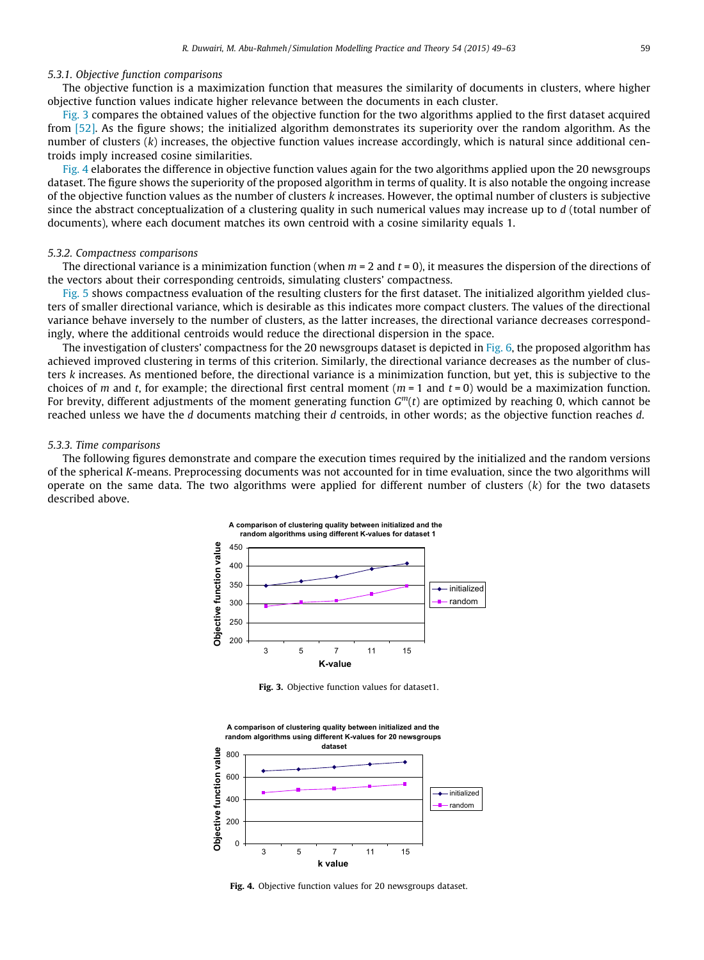## 5.3.1. Objective function comparisons

The objective function is a maximization function that measures the similarity of documents in clusters, where higher objective function values indicate higher relevance between the documents in each cluster.

Fig. 3 compares the obtained values of the objective function for the two algorithms applied to the first dataset acquired from [\[52\].](#page-14-0) As the figure shows; the initialized algorithm demonstrates its superiority over the random algorithm. As the number of clusters  $(k)$  increases, the objective function values increase accordingly, which is natural since additional centroids imply increased cosine similarities.

Fig. 4 elaborates the difference in objective function values again for the two algorithms applied upon the 20 newsgroups dataset. The figure shows the superiority of the proposed algorithm in terms of quality. It is also notable the ongoing increase of the objective function values as the number of clusters k increases. However, the optimal number of clusters is subjective since the abstract conceptualization of a clustering quality in such numerical values may increase up to d (total number of documents), where each document matches its own centroid with a cosine similarity equals 1.

# 5.3.2. Compactness comparisons

The directional variance is a minimization function (when  $m = 2$  and  $t = 0$ ), it measures the dispersion of the directions of the vectors about their corresponding centroids, simulating clusters' compactness.

[Fig. 5](#page-11-0) shows compactness evaluation of the resulting clusters for the first dataset. The initialized algorithm yielded clusters of smaller directional variance, which is desirable as this indicates more compact clusters. The values of the directional variance behave inversely to the number of clusters, as the latter increases, the directional variance decreases correspondingly, where the additional centroids would reduce the directional dispersion in the space.

The investigation of clusters' compactness for the 20 newsgroups dataset is depicted in [Fig. 6,](#page-11-0) the proposed algorithm has achieved improved clustering in terms of this criterion. Similarly, the directional variance decreases as the number of clusters k increases. As mentioned before, the directional variance is a minimization function, but yet, this is subjective to the choices of m and t, for example; the directional first central moment ( $m = 1$  and  $t = 0$ ) would be a maximization function. For brevity, different adjustments of the moment generating function  $G<sup>m</sup>(t)$  are optimized by reaching 0, which cannot be reached unless we have the d documents matching their d centroids, in other words; as the objective function reaches d.

# 5.3.3. Time comparisons

The following figures demonstrate and compare the execution times required by the initialized and the random versions of the spherical K-means. Preprocessing documents was not accounted for in time evaluation, since the two algorithms will operate on the same data. The two algorithms were applied for different number of clusters  $(k)$  for the two datasets described above.



Fig. 3. Objective function values for dataset1.



Fig. 4. Objective function values for 20 newsgroups dataset.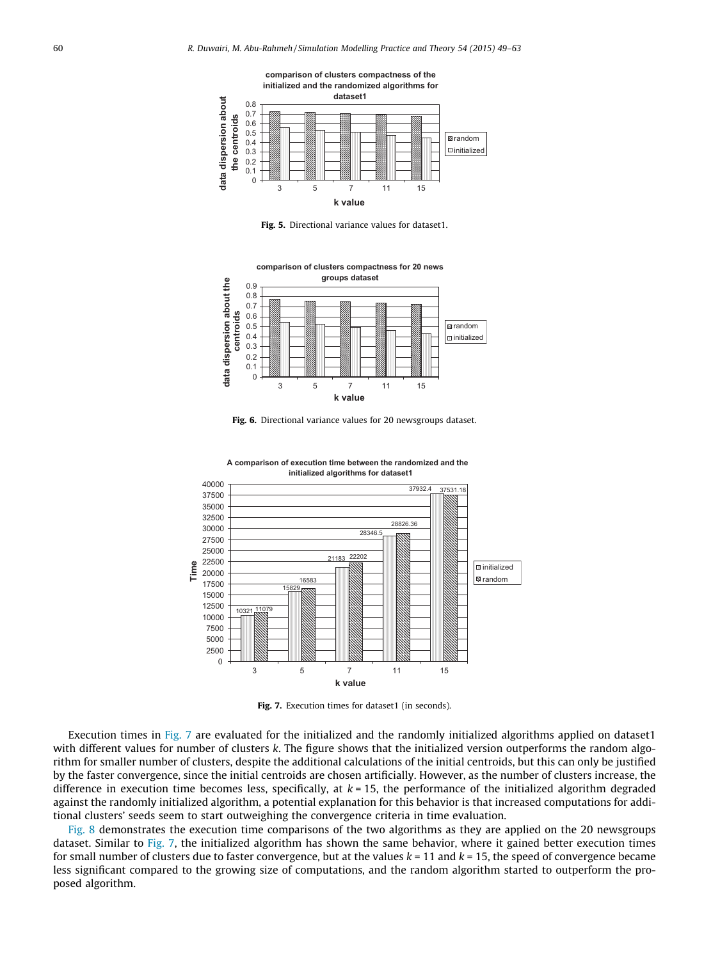<span id="page-11-0"></span>

Fig. 5. Directional variance values for dataset1.

**comparison of clusters compactness for 20 news** 

**groups dataset data dispersion about the**  data dispersion about the 0.9 0.8 0.7 centroids **centroids** 0.6 0.5 **R** random  $0.4$ **n** initialized  $0.3$  $0.2$ 0.1 0 3 5 7 11 15 **k value**

Fig. 6. Directional variance values for 20 newsgroups dataset.



**A comparison of execution time between the randomized and the initialized algorithms for dataset1**

Fig. 7. Execution times for dataset1 (in seconds).

Execution times in Fig. 7 are evaluated for the initialized and the randomly initialized algorithms applied on dataset1 with different values for number of clusters k. The figure shows that the initialized version outperforms the random algorithm for smaller number of clusters, despite the additional calculations of the initial centroids, but this can only be justified by the faster convergence, since the initial centroids are chosen artificially. However, as the number of clusters increase, the difference in execution time becomes less, specifically, at  $k = 15$ , the performance of the initialized algorithm degraded against the randomly initialized algorithm, a potential explanation for this behavior is that increased computations for additional clusters' seeds seem to start outweighing the convergence criteria in time evaluation.

[Fig. 8](#page-12-0) demonstrates the execution time comparisons of the two algorithms as they are applied on the 20 newsgroups dataset. Similar to Fig. 7, the initialized algorithm has shown the same behavior, where it gained better execution times for small number of clusters due to faster convergence, but at the values  $k = 11$  and  $k = 15$ , the speed of convergence became less significant compared to the growing size of computations, and the random algorithm started to outperform the proposed algorithm.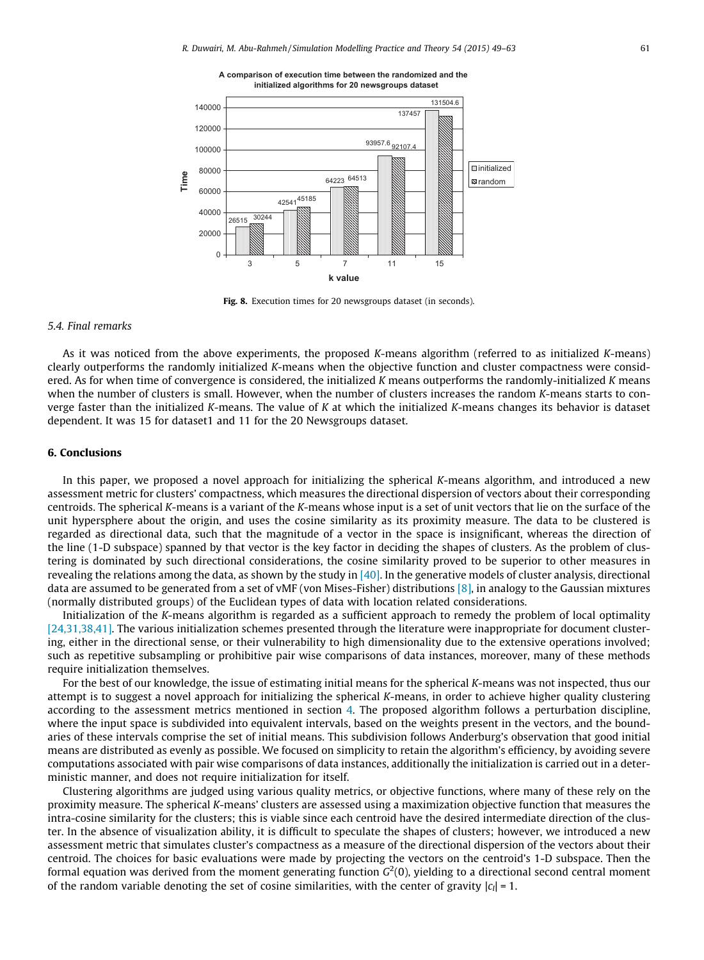<span id="page-12-0"></span>

Fig. 8. Execution times for 20 newsgroups dataset (in seconds).

# 5.4. Final remarks

As it was noticed from the above experiments, the proposed K-means algorithm (referred to as initialized K-means) clearly outperforms the randomly initialized K-means when the objective function and cluster compactness were considered. As for when time of convergence is considered, the initialized K means outperforms the randomly-initialized K means when the number of clusters is small. However, when the number of clusters increases the random K-means starts to converge faster than the initialized K-means. The value of K at which the initialized K-means changes its behavior is dataset dependent. It was 15 for dataset1 and 11 for the 20 Newsgroups dataset.

## 6. Conclusions

In this paper, we proposed a novel approach for initializing the spherical K-means algorithm, and introduced a new assessment metric for clusters' compactness, which measures the directional dispersion of vectors about their corresponding centroids. The spherical K-means is a variant of the K-means whose input is a set of unit vectors that lie on the surface of the unit hypersphere about the origin, and uses the cosine similarity as its proximity measure. The data to be clustered is regarded as directional data, such that the magnitude of a vector in the space is insignificant, whereas the direction of the line (1-D subspace) spanned by that vector is the key factor in deciding the shapes of clusters. As the problem of clustering is dominated by such directional considerations, the cosine similarity proved to be superior to other measures in revealing the relations among the data, as shown by the study in [\[40\].](#page-13-0) In the generative models of cluster analysis, directional data are assumed to be generated from a set of vMF (von Mises-Fisher) distributions [\[8\],](#page-13-0) in analogy to the Gaussian mixtures (normally distributed groups) of the Euclidean types of data with location related considerations.

Initialization of the K-means algorithm is regarded as a sufficient approach to remedy the problem of local optimality [\[24,31,38,41\].](#page-13-0) The various initialization schemes presented through the literature were inappropriate for document clustering, either in the directional sense, or their vulnerability to high dimensionality due to the extensive operations involved; such as repetitive subsampling or prohibitive pair wise comparisons of data instances, moreover, many of these methods require initialization themselves.

For the best of our knowledge, the issue of estimating initial means for the spherical K-means was not inspected, thus our attempt is to suggest a novel approach for initializing the spherical K-means, in order to achieve higher quality clustering according to the assessment metrics mentioned in section [4.](#page-5-0) The proposed algorithm follows a perturbation discipline, where the input space is subdivided into equivalent intervals, based on the weights present in the vectors, and the boundaries of these intervals comprise the set of initial means. This subdivision follows Anderburg's observation that good initial means are distributed as evenly as possible. We focused on simplicity to retain the algorithm's efficiency, by avoiding severe computations associated with pair wise comparisons of data instances, additionally the initialization is carried out in a deterministic manner, and does not require initialization for itself.

Clustering algorithms are judged using various quality metrics, or objective functions, where many of these rely on the proximity measure. The spherical K-means' clusters are assessed using a maximization objective function that measures the intra-cosine similarity for the clusters; this is viable since each centroid have the desired intermediate direction of the cluster. In the absence of visualization ability, it is difficult to speculate the shapes of clusters; however, we introduced a new assessment metric that simulates cluster's compactness as a measure of the directional dispersion of the vectors about their centroid. The choices for basic evaluations were made by projecting the vectors on the centroid's 1-D subspace. Then the formal equation was derived from the moment generating function  $G^2(0)$ , yielding to a directional second central moment of the random variable denoting the set of cosine similarities, with the center of gravity  $|c_l| = 1$ .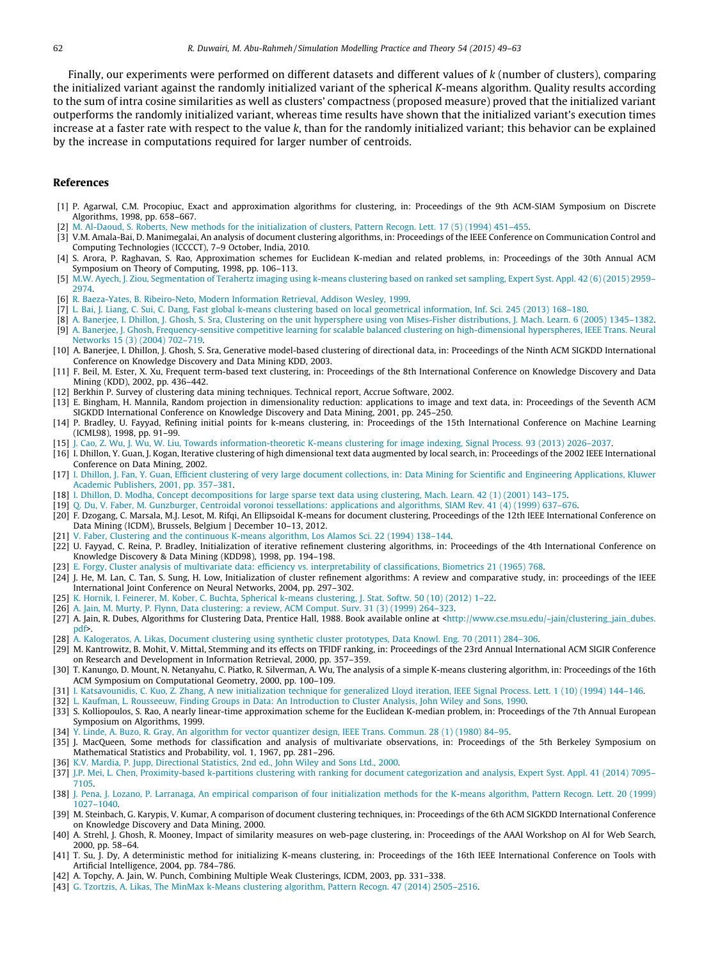<span id="page-13-0"></span>Finally, our experiments were performed on different datasets and different values of k (number of clusters), comparing the initialized variant against the randomly initialized variant of the spherical K-means algorithm. Quality results according to the sum of intra cosine similarities as well as clusters' compactness (proposed measure) proved that the initialized variant outperforms the randomly initialized variant, whereas time results have shown that the initialized variant's execution times increase at a faster rate with respect to the value k, than for the randomly initialized variant; this behavior can be explained by the increase in computations required for larger number of centroids.

# References

- [1] P. Agarwal, C.M. Procopiuc, Exact and approximation algorithms for clustering, in: Proceedings of the 9th ACM-SIAM Symposium on Discrete Algorithms, 1998, pp. 658–667.
- [2] [M. Al-Daoud, S. Roberts, New methods for the initialization of clusters, Pattern Recogn. Lett. 17 \(5\) \(1994\) 451–455.](http://refhub.elsevier.com/S1569-190X(15)00048-9/h0010)
- [3] V.M. Amala-Bai, D. Manimegalai, An analysis of document clustering algorithms, in: Proceedings of the IEEE Conference on Communication Control and Computing Technologies (ICCCCT), 7–9 October, India, 2010.
- [4] S. Arora, P. Raghavan, S. Rao, Approximation schemes for Euclidean K-median and related problems, in: Proceedings of the 30th Annual ACM Symposium on Theory of Computing, 1998, pp. 106–113.
- [5] [M.W. Ayech, J. Ziou, Segmentation of Terahertz imaging using k-means clustering based on ranked set sampling, Expert Syst. Appl. 42 \(6\) \(2015\) 2959–](http://refhub.elsevier.com/S1569-190X(15)00048-9/h0025) [2974](http://refhub.elsevier.com/S1569-190X(15)00048-9/h0025).
- [6] [R. Baeza-Yates, B. Ribeiro-Neto, Modern Information Retrieval, Addison Wesley, 1999.](http://refhub.elsevier.com/S1569-190X(15)00048-9/h0030)
- [7] [L. Bai, J. Liang, C. Sui, C. Dang, Fast global k-means clustering based on local geometrical information, Inf. Sci. 245 \(2013\) 168–180.](http://refhub.elsevier.com/S1569-190X(15)00048-9/h0035)
- [8] [A. Banerjee, I. Dhillon, J. Ghosh, S. Sra, Clustering on the unit hypersphere using von Mises-Fisher distributions, J. Mach. Learn. 6 \(2005\) 1345–1382.](http://refhub.elsevier.com/S1569-190X(15)00048-9/h0040)
- [9] [A. Banerjee, J. Ghosh, Frequency-sensitive competitive learning for scalable balanced clustering on high-dimensional hyperspheres, IEEE Trans.](http://refhub.elsevier.com/S1569-190X(15)00048-9/h0045) Neural [Networks 15 \(3\) \(2004\) 702–719.](http://refhub.elsevier.com/S1569-190X(15)00048-9/h0045)
- [10] A. Banerjee, I. Dhillon, J. Ghosh, S. Sra, Generative model-based clustering of directional data, in: Proceedings of the Ninth ACM SIGKDD International Conference on Knowledge Discovery and Data Mining KDD, 2003.
- [11] F. Beil, M. Ester, X. Xu, Frequent term-based text clustering, in: Proceedings of the 8th International Conference on Knowledge Discovery and Data Mining (KDD), 2002, pp. 436–442.
- [12] Berkhin P. Survey of clustering data mining techniques. Technical report, Accrue Software, 2002.
- [13] E. Bingham, H. Mannila, Random projection in dimensionality reduction: applications to image and text data, in: Proceedings of the Seventh ACM SIGKDD International Conference on Knowledge Discovery and Data Mining, 2001, pp. 245–250.
- [14] P. Bradley, U. Fayyad, Refining initial points for k-means clustering, in: Proceedings of the 15th International Conference on Machine Learning (ICML98), 1998, pp. 91–99.
- [15] [J. Cao, Z. Wu, J. Wu, W. Liu, Towards information-theoretic K-means clustering for image indexing, Signal Process. 93 \(2013\) 2026–2037.](http://refhub.elsevier.com/S1569-190X(15)00048-9/h0075)
- [16] I. Dhillon, Y. Guan, J. Kogan, Iterative clustering of high dimensional text data augmented by local search, in: Proceedings of the 2002 IEEE International Conference on Data Mining, 2002.
- [17] [I. Dhillon, J. Fan, Y. Guan, Efficient clustering of very large document collections, in: Data Mining for Scientific and Engineering Applications, Kluwer](http://refhub.elsevier.com/S1569-190X(15)00048-9/h0085) [Academic Publishers, 2001, pp. 357–381](http://refhub.elsevier.com/S1569-190X(15)00048-9/h0085).
- [18] [I. Dhillon, D. Modha, Concept decompositions for large sparse text data using clustering, Mach. Learn. 42 \(1\) \(2001\) 143–175](http://refhub.elsevier.com/S1569-190X(15)00048-9/h0090).
- [19] [Q. Du, V. Faber, M. Gunzburger, Centroidal voronoi tessellations: applications and algorithms, SIAM Rev. 41 \(4\) \(1999\) 637–676](http://refhub.elsevier.com/S1569-190X(15)00048-9/h0095).
- [20] F. Dzogang, C. Marsala, M.J. Lesot, M. Rifqi, An Ellipsoidal K-means for document clustering, Proceedings of the 12th IEEE International Conference on Data Mining (ICDM), Brussels, Belgium | December 10–13, 2012.
- [21] [V. Faber, Clustering and the continuous K-means algorithm, Los Alamos Sci. 22 \(1994\) 138–144.](http://refhub.elsevier.com/S1569-190X(15)00048-9/h0105)
- [22] U. Fayyad, C. Reina, P. Bradley, Initialization of iterative refinement clustering algorithms, in: Proceedings of the 4th International Conference on Knowledge Discovery & Data Mining (KDD98), 1998, pp. 194–198.
- [23] [E. Forgy, Cluster analysis of multivariate data: efficiency vs. interpretability of classifications, Biometrics 21 \(1965\) 768](http://refhub.elsevier.com/S1569-190X(15)00048-9/h0115).
- [24] J. He, M. Lan, C. Tan, S. Sung, H. Low, Initialization of cluster refinement algorithms: A review and comparative study, in: proceedings of the IEEE International Joint Conference on Neural Networks, 2004, pp. 297–302.
- [25] [K. Hornik, I. Feinerer, M. Kober, C. Buchta, Spherical k-means clustering, J. Stat. Softw. 50 \(10\) \(2012\) 1–22](http://refhub.elsevier.com/S1569-190X(15)00048-9/h0125).
- [26] [A. Jain, M. Murty, P. Flynn, Data clustering: a review, ACM Comput. Surv. 31 \(3\) \(1999\) 264–323](http://refhub.elsevier.com/S1569-190X(15)00048-9/h0130).
- [27] A. Jain, R. Dubes, Algorithms for Clustering Data, Prentice Hall, 1988. Book available online at <[http://www.cse.msu.edu/~jain/clustering\\_jain\\_dubes.](http://www.cse.msu.edu/~jain/clustering_jain_dubes.pdf) [pdf>](http://www.cse.msu.edu/~jain/clustering_jain_dubes.pdf).
- [28] [A. Kalogeratos, A. Likas, Document clustering using synthetic cluster prototypes, Data Knowl. Eng. 70 \(2011\) 284–306](http://refhub.elsevier.com/S1569-190X(15)00048-9/h0140).
- [29] M. Kantrowitz, B. Mohit, V. Mittal, Stemming and its effects on TFIDF ranking, in: Proceedings of the 23rd Annual International ACM SIGIR Conference on Research and Development in Information Retrieval, 2000, pp. 357–359.
- [30] T. Kanungo, D. Mount, N. Netanyahu, C. Piatko, R. Silverman, A. Wu, The analysis of a simple K-means clustering algorithm, in: Proceedings of the 16th ACM Symposium on Computational Geometry, 2000, pp. 100–109.
- [31] I. Katsavounidis, C. Kuo, Z. Zhang, A new initialization technique for generalized Lloyd iteration, IEEE Signal Process. Lett. 1 (10) (1994) 144-146.
- [32] [L. Kaufman, L. Rousseeuw, Finding Groups in Data: An Introduction to Cluster Analysis, John Wiley and Sons, 1990.](http://refhub.elsevier.com/S1569-190X(15)00048-9/h0160)
- [33] S. Kolliopoulos, S. Rao, A nearly linear-time approximation scheme for the Euclidean K-median problem, in: Proceedings of the 7th Annual European Symposium on Algorithms, 1999.
- [34] [Y. Linde, A. Buzo, R. Gray, An algorithm for vector quantizer design, IEEE Trans. Commun. 28 \(1\) \(1980\) 84–95.](http://refhub.elsevier.com/S1569-190X(15)00048-9/h0170)
- [35] J. MacQueen, Some methods for classification and analysis of multivariate observations, in: Proceedings of the 5th Berkeley Symposium on Mathematical Statistics and Probability, vol. 1, 1967, pp. 281–296.
- [36] [K.V. Mardia, P. Jupp, Directional Statistics, 2nd ed., John Wiley and Sons Ltd., 2000.](http://refhub.elsevier.com/S1569-190X(15)00048-9/h0180)
- [37] [J.P. Mei, L. Chen, Proximity-based k-partitions clustering with ranking for document categorization and analysis, Expert Syst. Appl. 41 \(2014\) 7095–](http://refhub.elsevier.com/S1569-190X(15)00048-9/h0185) [7105.](http://refhub.elsevier.com/S1569-190X(15)00048-9/h0185)
- [38] [J. Pena, J. Lozano, P. Larranaga, An empirical comparison of four initialization methods for the K-means algorithm, Pattern Recogn. Lett. 20 \(1999\)](http://refhub.elsevier.com/S1569-190X(15)00048-9/h0190) [1027–1040.](http://refhub.elsevier.com/S1569-190X(15)00048-9/h0190)
- [39] M. Steinbach, G. Karypis, V. Kumar, A comparison of document clustering techniques, in: Proceedings of the 6th ACM SIGKDD International Conference on Knowledge Discovery and Data Mining, 2000.
- [40] A. Strehl, J. Ghosh, R. Mooney, Impact of similarity measures on web-page clustering, in: Proceedings of the AAAI Workshop on AI for Web Search, 2000, pp. 58–64.
- [41] T. Su, J. Dy, A deterministic method for initializing K-means clustering, in: Proceedings of the 16th IEEE International Conference on Tools with Artificial Intelligence, 2004, pp. 784–786.
- [42] A. Topchy, A. Jain, W. Punch, Combining Multiple Weak Clusterings, ICDM, 2003, pp. 331–338.
- [43] [G. Tzortzis, A. Likas, The MinMax k-Means clustering algorithm, Pattern Recogn. 47 \(2014\) 2505–2516](http://refhub.elsevier.com/S1569-190X(15)00048-9/h0215).